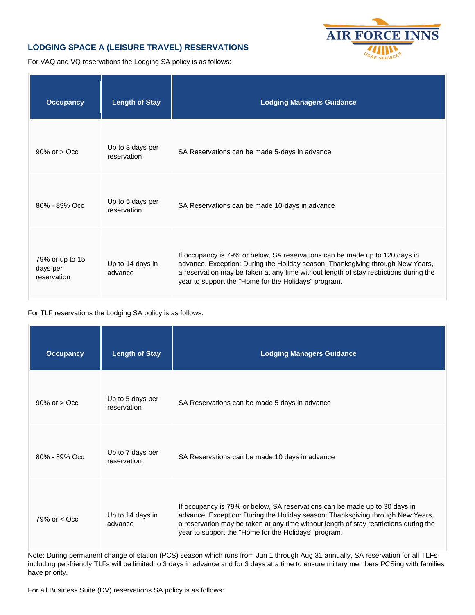## **LODGING SPACE A (LEISURE TRAVEL) RESERVATIONS**



For VAQ and VQ reservations the Lodging SA policy is as follows:

| <b>Occupancy</b>                           | <b>Length of Stay</b>           | <b>Lodging Managers Guidance</b>                                                                                                                                                                                                                                                                               |
|--------------------------------------------|---------------------------------|----------------------------------------------------------------------------------------------------------------------------------------------------------------------------------------------------------------------------------------------------------------------------------------------------------------|
| $90\%$ or $>$ Occ                          | Up to 3 days per<br>reservation | SA Reservations can be made 5-days in advance                                                                                                                                                                                                                                                                  |
| $80\% - 89\%$ Occ                          | Up to 5 days per<br>reservation | SA Reservations can be made 10-days in advance                                                                                                                                                                                                                                                                 |
| 79% or up to 15<br>days per<br>reservation | Up to 14 days in<br>advance     | If occupancy is 79% or below, SA reservations can be made up to 120 days in<br>advance. Exception: During the Holiday season: Thanksgiving through New Years,<br>a reservation may be taken at any time without length of stay restrictions during the<br>year to support the "Home for the Holidays" program. |

## For TLF reservations the Lodging SA policy is as follows:

| <b>Occupancy</b>  | <b>Length of Stay</b>           | <b>Lodging Managers Guidance</b>                                                                                                                                                                                                                                                                              |
|-------------------|---------------------------------|---------------------------------------------------------------------------------------------------------------------------------------------------------------------------------------------------------------------------------------------------------------------------------------------------------------|
| $90\%$ or $>$ Occ | Up to 5 days per<br>reservation | SA Reservations can be made 5 days in advance                                                                                                                                                                                                                                                                 |
| 80% - 89% Occ     | Up to 7 days per<br>reservation | SA Reservations can be made 10 days in advance                                                                                                                                                                                                                                                                |
| 79% or $<$ Occ    | Up to 14 days in<br>advance     | If occupancy is 79% or below, SA reservations can be made up to 30 days in<br>advance. Exception: During the Holiday season: Thanksgiving through New Years,<br>a reservation may be taken at any time without length of stay restrictions during the<br>year to support the "Home for the Holidays" program. |

Note: During permanent change of station (PCS) season which runs from Jun 1 through Aug 31 annually, SA reservation for all TLFs including pet-friendly TLFs will be limited to 3 days in advance and for 3 days at a time to ensure miitary members PCSing with families have priority.

For all Business Suite (DV) reservations SA policy is as follows: